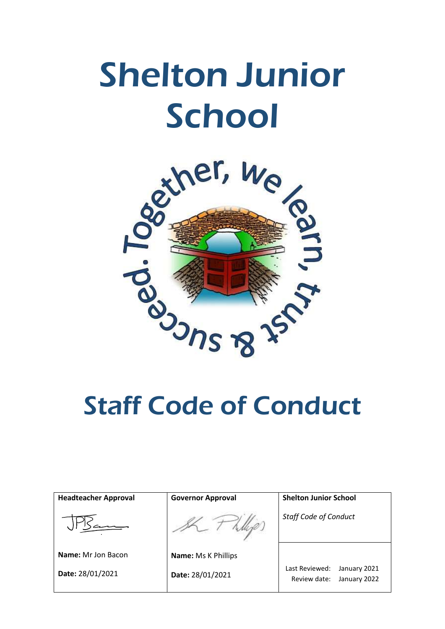# Shelton Junior School



| <b>Headteacher Approval</b> | <b>Governor Approval</b>   | <b>Shelton Junior School</b>                                   |
|-----------------------------|----------------------------|----------------------------------------------------------------|
|                             |                            | <b>Staff Code of Conduct</b>                                   |
| <b>Name:</b> Mr Jon Bacon   | <b>Name: Ms K Phillips</b> |                                                                |
| Date: 28/01/2021            | Date: 28/01/2021           | Last Reviewed:<br>January 2021<br>Review date:<br>January 2022 |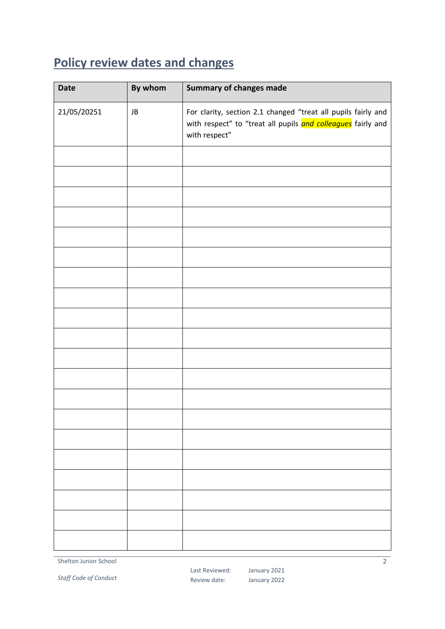# <span id="page-1-0"></span>**Policy review dates and changes**

| <b>Date</b> | By whom | <b>Summary of changes made</b>                                                                                                                 |
|-------------|---------|------------------------------------------------------------------------------------------------------------------------------------------------|
| 21/05/20251 | JB      | For clarity, section 2.1 changed "treat all pupils fairly and<br>with respect" to "treat all pupils and colleagues fairly and<br>with respect" |
|             |         |                                                                                                                                                |
|             |         |                                                                                                                                                |
|             |         |                                                                                                                                                |
|             |         |                                                                                                                                                |
|             |         |                                                                                                                                                |
|             |         |                                                                                                                                                |
|             |         |                                                                                                                                                |
|             |         |                                                                                                                                                |
|             |         |                                                                                                                                                |
|             |         |                                                                                                                                                |
|             |         |                                                                                                                                                |
|             |         |                                                                                                                                                |
|             |         |                                                                                                                                                |
|             |         |                                                                                                                                                |
|             |         |                                                                                                                                                |
|             |         |                                                                                                                                                |
|             |         |                                                                                                                                                |
|             |         |                                                                                                                                                |
|             |         |                                                                                                                                                |
|             |         |                                                                                                                                                |

Shelton Junior School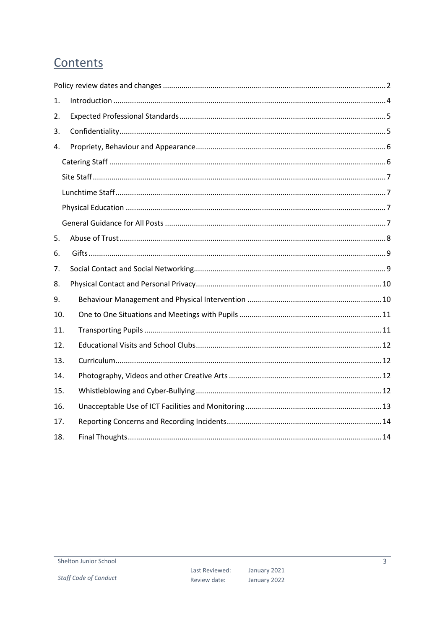# Contents

| 1.  |  |
|-----|--|
| 2.  |  |
| 3.  |  |
| 4.  |  |
|     |  |
|     |  |
|     |  |
|     |  |
|     |  |
| 5.  |  |
| 6.  |  |
| 7.  |  |
| 8.  |  |
| 9.  |  |
| 10. |  |
| 11. |  |
| 12. |  |
| 13. |  |
| 14. |  |
| 15. |  |
| 16. |  |
| 17. |  |
| 18. |  |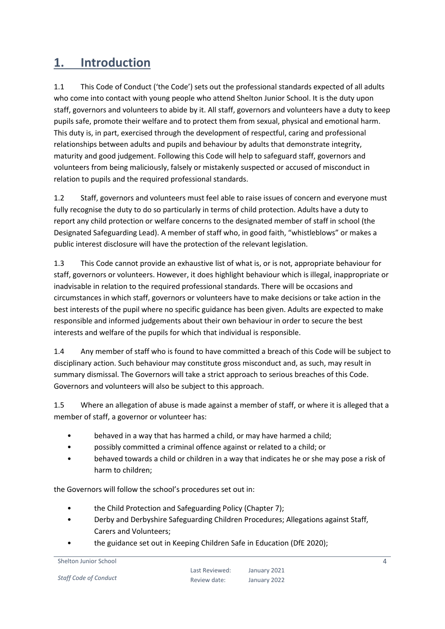#### <span id="page-3-0"></span>**1. Introduction**

1.1 This Code of Conduct ('the Code') sets out the professional standards expected of all adults who come into contact with young people who attend Shelton Junior School. It is the duty upon staff, governors and volunteers to abide by it. All staff, governors and volunteers have a duty to keep pupils safe, promote their welfare and to protect them from sexual, physical and emotional harm. This duty is, in part, exercised through the development of respectful, caring and professional relationships between adults and pupils and behaviour by adults that demonstrate integrity, maturity and good judgement. Following this Code will help to safeguard staff, governors and volunteers from being maliciously, falsely or mistakenly suspected or accused of misconduct in relation to pupils and the required professional standards.

1.2 Staff, governors and volunteers must feel able to raise issues of concern and everyone must fully recognise the duty to do so particularly in terms of child protection. Adults have a duty to report any child protection or welfare concerns to the designated member of staff in school (the Designated Safeguarding Lead). A member of staff who, in good faith, "whistleblows" or makes a public interest disclosure will have the protection of the relevant legislation.

1.3 This Code cannot provide an exhaustive list of what is, or is not, appropriate behaviour for staff, governors or volunteers. However, it does highlight behaviour which is illegal, inappropriate or inadvisable in relation to the required professional standards. There will be occasions and circumstances in which staff, governors or volunteers have to make decisions or take action in the best interests of the pupil where no specific guidance has been given. Adults are expected to make responsible and informed judgements about their own behaviour in order to secure the best interests and welfare of the pupils for which that individual is responsible.

1.4 Any member of staff who is found to have committed a breach of this Code will be subject to disciplinary action. Such behaviour may constitute gross misconduct and, as such, may result in summary dismissal. The Governors will take a strict approach to serious breaches of this Code. Governors and volunteers will also be subject to this approach.

1.5 Where an allegation of abuse is made against a member of staff, or where it is alleged that a member of staff, a governor or volunteer has:

- behaved in a way that has harmed a child, or may have harmed a child;
- possibly committed a criminal offence against or related to a child; or
- behaved towards a child or children in a way that indicates he or she may pose a risk of harm to children;

the Governors will follow the school's procedures set out in:

- the Child Protection and Safeguarding Policy (Chapter 7);
- Derby and Derbyshire Safeguarding Children Procedures; Allegations against Staff, Carers and Volunteers;
- the guidance set out in Keeping Children Safe in Education (DfE 2020);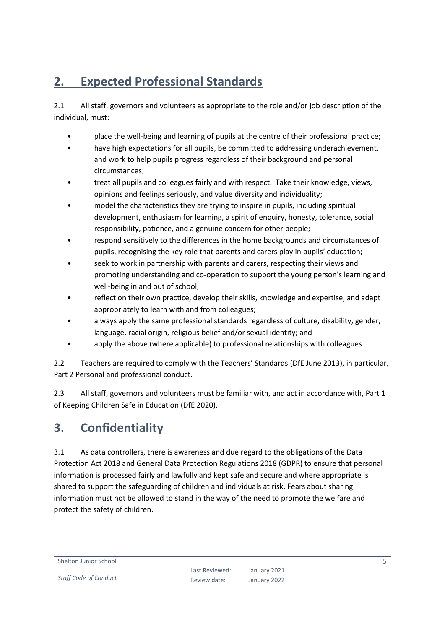# <span id="page-4-0"></span>**2. Expected Professional Standards**

2.1 All staff, governors and volunteers as appropriate to the role and/or job description of the individual, must:

- place the well-being and learning of pupils at the centre of their professional practice;
- have high expectations for all pupils, be committed to addressing underachievement, and work to help pupils progress regardless of their background and personal circumstances;
- treat all pupils and colleagues fairly and with respect. Take their knowledge, views, opinions and feelings seriously, and value diversity and individuality;
- model the characteristics they are trying to inspire in pupils, including spiritual development, enthusiasm for learning, a spirit of enquiry, honesty, tolerance, social responsibility, patience, and a genuine concern for other people;
- respond sensitively to the differences in the home backgrounds and circumstances of pupils, recognising the key role that parents and carers play in pupils' education;
- seek to work in partnership with parents and carers, respecting their views and promoting understanding and co-operation to support the young person's learning and well-being in and out of school;
- reflect on their own practice, develop their skills, knowledge and expertise, and adapt appropriately to learn with and from colleagues;
- always apply the same professional standards regardless of culture, disability, gender, language, racial origin, religious belief and/or sexual identity; and
- apply the above (where applicable) to professional relationships with colleagues.

2.2 Teachers are required to comply with the Teachers' Standards (DfE June 2013), in particular, Part 2 Personal and professional conduct.

2.3 All staff, governors and volunteers must be familiar with, and act in accordance with, Part 1 of Keeping Children Safe in Education (DfE 2020).

#### <span id="page-4-1"></span>**3. Confidentiality**

3.1 As data controllers, there is awareness and due regard to the obligations of the Data Protection Act 2018 and General Data Protection Regulations 2018 (GDPR) to ensure that personal information is processed fairly and lawfully and kept safe and secure and where appropriate is shared to support the safeguarding of children and individuals at risk. Fears about sharing information must not be allowed to stand in the way of the need to promote the welfare and protect the safety of children.

Shelton Junior School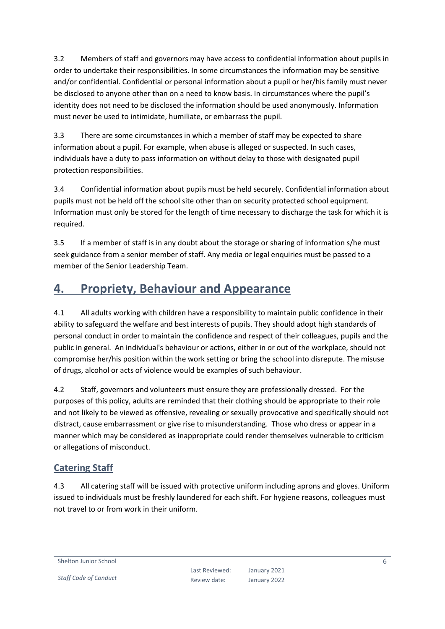3.2 Members of staff and governors may have access to confidential information about pupils in order to undertake their responsibilities. In some circumstances the information may be sensitive and/or confidential. Confidential or personal information about a pupil or her/his family must never be disclosed to anyone other than on a need to know basis. In circumstances where the pupil's identity does not need to be disclosed the information should be used anonymously. Information must never be used to intimidate, humiliate, or embarrass the pupil.

3.3 There are some circumstances in which a member of staff may be expected to share information about a pupil. For example, when abuse is alleged or suspected. In such cases, individuals have a duty to pass information on without delay to those with designated pupil protection responsibilities.

3.4 Confidential information about pupils must be held securely. Confidential information about pupils must not be held off the school site other than on security protected school equipment. Information must only be stored for the length of time necessary to discharge the task for which it is required.

3.5 If a member of staff is in any doubt about the storage or sharing of information s/he must seek guidance from a senior member of staff. Any media or legal enquiries must be passed to a member of the Senior Leadership Team.

#### <span id="page-5-0"></span>**4. Propriety, Behaviour and Appearance**

4.1 All adults working with children have a responsibility to maintain public confidence in their ability to safeguard the welfare and best interests of pupils. They should adopt high standards of personal conduct in order to maintain the confidence and respect of their colleagues, pupils and the public in general. An individual's behaviour or actions, either in or out of the workplace, should not compromise her/his position within the work setting or bring the school into disrepute. The misuse of drugs, alcohol or acts of violence would be examples of such behaviour.

4.2 Staff, governors and volunteers must ensure they are professionally dressed. For the purposes of this policy, adults are reminded that their clothing should be appropriate to their role and not likely to be viewed as offensive, revealing or sexually provocative and specifically should not distract, cause embarrassment or give rise to misunderstanding. Those who dress or appear in a manner which may be considered as inappropriate could render themselves vulnerable to criticism or allegations of misconduct.

#### <span id="page-5-1"></span>**Catering Staff**

4.3 All catering staff will be issued with protective uniform including aprons and gloves. Uniform issued to individuals must be freshly laundered for each shift. For hygiene reasons, colleagues must not travel to or from work in their uniform.

Shelton Junior School

6

*Staff Code of Conduct*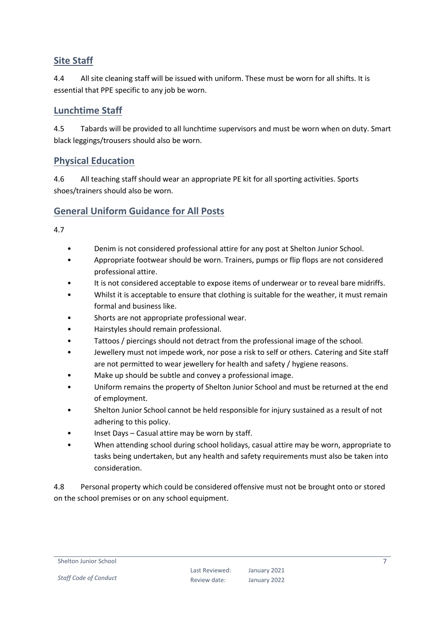#### <span id="page-6-0"></span>**Site Staff**

4.4 All site cleaning staff will be issued with uniform. These must be worn for all shifts. It is essential that PPE specific to any job be worn.

#### <span id="page-6-1"></span>**Lunchtime Staff**

4.5 Tabards will be provided to all lunchtime supervisors and must be worn when on duty. Smart black leggings/trousers should also be worn.

#### <span id="page-6-2"></span>**Physical Education**

4.6 All teaching staff should wear an appropriate PE kit for all sporting activities. Sports shoes/trainers should also be worn.

#### <span id="page-6-3"></span>**General Uniform Guidance for All Posts**

4.7

- Denim is not considered professional attire for any post at Shelton Junior School.
- Appropriate footwear should be worn. Trainers, pumps or flip flops are not considered professional attire.
- It is not considered acceptable to expose items of underwear or to reveal bare midriffs.
- Whilst it is acceptable to ensure that clothing is suitable for the weather, it must remain formal and business like.
- Shorts are not appropriate professional wear.
- Hairstyles should remain professional.
- Tattoos / piercings should not detract from the professional image of the school.
- Jewellery must not impede work, nor pose a risk to self or others. Catering and Site staff are not permitted to wear jewellery for health and safety / hygiene reasons.
- Make up should be subtle and convey a professional image.
- Uniform remains the property of Shelton Junior School and must be returned at the end of employment.
- Shelton Junior School cannot be held responsible for injury sustained as a result of not adhering to this policy.
- Inset Days Casual attire may be worn by staff.
- When attending school during school holidays, casual attire may be worn, appropriate to tasks being undertaken, but any health and safety requirements must also be taken into consideration.

4.8 Personal property which could be considered offensive must not be brought onto or stored on the school premises or on any school equipment.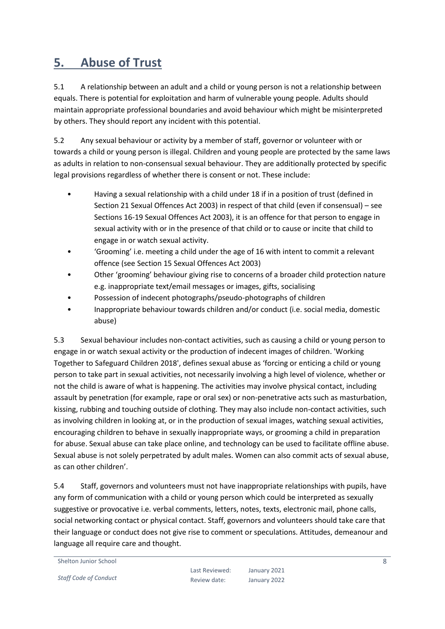#### <span id="page-7-0"></span>**5. Abuse of Trust**

5.1 A relationship between an adult and a child or young person is not a relationship between equals. There is potential for exploitation and harm of vulnerable young people. Adults should maintain appropriate professional boundaries and avoid behaviour which might be misinterpreted by others. They should report any incident with this potential.

5.2 Any sexual behaviour or activity by a member of staff, governor or volunteer with or towards a child or young person is illegal. Children and young people are protected by the same laws as adults in relation to non-consensual sexual behaviour. They are additionally protected by specific legal provisions regardless of whether there is consent or not. These include:

- Having a sexual relationship with a child under 18 if in a position of trust (defined in Section 21 Sexual Offences Act 2003) in respect of that child (even if consensual) – see Sections 16-19 Sexual Offences Act 2003), it is an offence for that person to engage in sexual activity with or in the presence of that child or to cause or incite that child to engage in or watch sexual activity.
- 'Grooming' i.e. meeting a child under the age of 16 with intent to commit a relevant offence (see Section 15 Sexual Offences Act 2003)
- Other 'grooming' behaviour giving rise to concerns of a broader child protection nature e.g. inappropriate text/email messages or images, gifts, socialising
- Possession of indecent photographs/pseudo-photographs of children
- Inappropriate behaviour towards children and/or conduct (i.e. social media, domestic abuse)

5.3 Sexual behaviour includes non-contact activities, such as causing a child or young person to engage in or watch sexual activity or the production of indecent images of children. 'Working Together to Safeguard Children 2018', defines sexual abuse as 'forcing or enticing a child or young person to take part in sexual activities, not necessarily involving a high level of violence, whether or not the child is aware of what is happening. The activities may involve physical contact, including assault by penetration (for example, rape or oral sex) or non-penetrative acts such as masturbation, kissing, rubbing and touching outside of clothing. They may also include non-contact activities, such as involving children in looking at, or in the production of sexual images, watching sexual activities, encouraging children to behave in sexually inappropriate ways, or grooming a child in preparation for abuse. Sexual abuse can take place online, and technology can be used to facilitate offline abuse. Sexual abuse is not solely perpetrated by adult males. Women can also commit acts of sexual abuse, as can other children'.

5.4 Staff, governors and volunteers must not have inappropriate relationships with pupils, have any form of communication with a child or young person which could be interpreted as sexually suggestive or provocative i.e. verbal comments, letters, notes, texts, electronic mail, phone calls, social networking contact or physical contact. Staff, governors and volunteers should take care that their language or conduct does not give rise to comment or speculations. Attitudes, demeanour and language all require care and thought.

Shelton Junior School

*Staff Code of Conduct*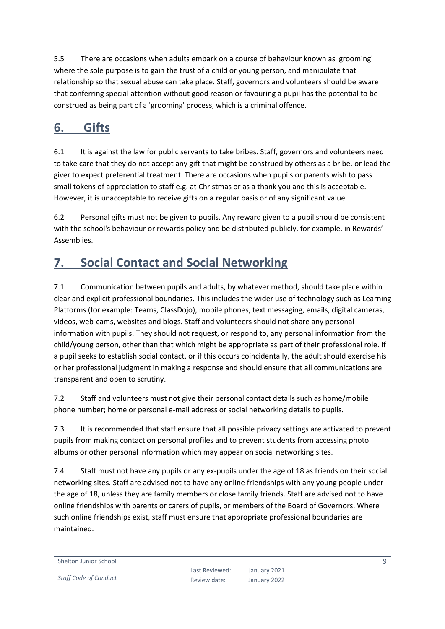5.5 There are occasions when adults embark on a course of behaviour known as 'grooming' where the sole purpose is to gain the trust of a child or young person, and manipulate that relationship so that sexual abuse can take place. Staff, governors and volunteers should be aware that conferring special attention without good reason or favouring a pupil has the potential to be construed as being part of a 'grooming' process, which is a criminal offence.

### <span id="page-8-0"></span>**6. Gifts**

6.1 It is against the law for public servants to take bribes. Staff, governors and volunteers need to take care that they do not accept any gift that might be construed by others as a bribe, or lead the giver to expect preferential treatment. There are occasions when pupils or parents wish to pass small tokens of appreciation to staff e.g. at Christmas or as a thank you and this is acceptable. However, it is unacceptable to receive gifts on a regular basis or of any significant value.

6.2 Personal gifts must not be given to pupils. Any reward given to a pupil should be consistent with the school's behaviour or rewards policy and be distributed publicly, for example, in Rewards' Assemblies.

# <span id="page-8-1"></span>**7. Social Contact and Social Networking**

7.1 Communication between pupils and adults, by whatever method, should take place within clear and explicit professional boundaries. This includes the wider use of technology such as Learning Platforms (for example: Teams, ClassDojo), mobile phones, text messaging, emails, digital cameras, videos, web-cams, websites and blogs. Staff and volunteers should not share any personal information with pupils. They should not request, or respond to, any personal information from the child/young person, other than that which might be appropriate as part of their professional role. If a pupil seeks to establish social contact, or if this occurs coincidentally, the adult should exercise his or her professional judgment in making a response and should ensure that all communications are transparent and open to scrutiny.

7.2 Staff and volunteers must not give their personal contact details such as home/mobile phone number; home or personal e-mail address or social networking details to pupils.

7.3 It is recommended that staff ensure that all possible privacy settings are activated to prevent pupils from making contact on personal profiles and to prevent students from accessing photo albums or other personal information which may appear on social networking sites.

7.4 Staff must not have any pupils or any ex-pupils under the age of 18 as friends on their social networking sites. Staff are advised not to have any online friendships with any young people under the age of 18, unless they are family members or close family friends. Staff are advised not to have online friendships with parents or carers of pupils, or members of the Board of Governors. Where such online friendships exist, staff must ensure that appropriate professional boundaries are maintained.

Shelton Junior School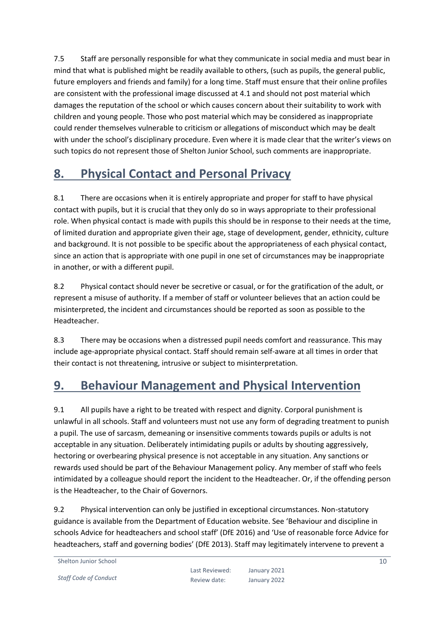7.5 Staff are personally responsible for what they communicate in social media and must bear in mind that what is published might be readily available to others, (such as pupils, the general public, future employers and friends and family) for a long time. Staff must ensure that their online profiles are consistent with the professional image discussed at 4.1 and should not post material which damages the reputation of the school or which causes concern about their suitability to work with children and young people. Those who post material which may be considered as inappropriate could render themselves vulnerable to criticism or allegations of misconduct which may be dealt with under the school's disciplinary procedure. Even where it is made clear that the writer's views on such topics do not represent those of Shelton Junior School, such comments are inappropriate.

#### <span id="page-9-0"></span>**8. Physical Contact and Personal Privacy**

8.1 There are occasions when it is entirely appropriate and proper for staff to have physical contact with pupils, but it is crucial that they only do so in ways appropriate to their professional role. When physical contact is made with pupils this should be in response to their needs at the time, of limited duration and appropriate given their age, stage of development, gender, ethnicity, culture and background. It is not possible to be specific about the appropriateness of each physical contact, since an action that is appropriate with one pupil in one set of circumstances may be inappropriate in another, or with a different pupil.

8.2 Physical contact should never be secretive or casual, or for the gratification of the adult, or represent a misuse of authority. If a member of staff or volunteer believes that an action could be misinterpreted, the incident and circumstances should be reported as soon as possible to the Headteacher.

8.3 There may be occasions when a distressed pupil needs comfort and reassurance. This may include age-appropriate physical contact. Staff should remain self-aware at all times in order that their contact is not threatening, intrusive or subject to misinterpretation.

#### <span id="page-9-1"></span>**9. Behaviour Management and Physical Intervention**

9.1 All pupils have a right to be treated with respect and dignity. Corporal punishment is unlawful in all schools. Staff and volunteers must not use any form of degrading treatment to punish a pupil. The use of sarcasm, demeaning or insensitive comments towards pupils or adults is not acceptable in any situation. Deliberately intimidating pupils or adults by shouting aggressively, hectoring or overbearing physical presence is not acceptable in any situation. Any sanctions or rewards used should be part of the Behaviour Management policy. Any member of staff who feels intimidated by a colleague should report the incident to the Headteacher. Or, if the offending person is the Headteacher, to the Chair of Governors.

9.2 Physical intervention can only be justified in exceptional circumstances. Non-statutory guidance is available from the Department of Education website. See 'Behaviour and discipline in schools Advice for headteachers and school staff' (DfE 2016) and 'Use of reasonable force Advice for headteachers, staff and governing bodies' (DfE 2013). Staff may legitimately intervene to prevent a

```
Shelton Junior School
```
*Staff Code of Conduct*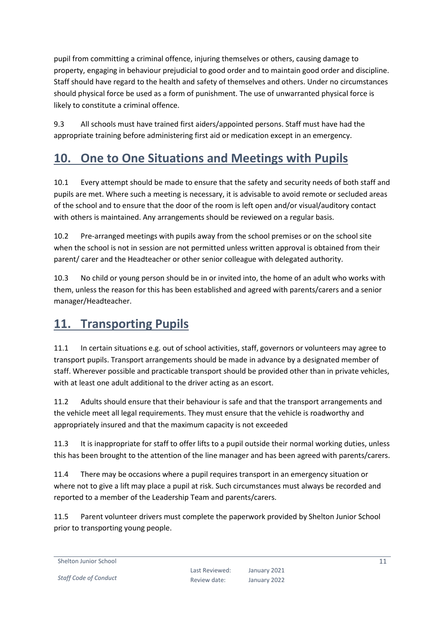pupil from committing a criminal offence, injuring themselves or others, causing damage to property, engaging in behaviour prejudicial to good order and to maintain good order and discipline. Staff should have regard to the health and safety of themselves and others. Under no circumstances should physical force be used as a form of punishment. The use of unwarranted physical force is likely to constitute a criminal offence.

9.3 All schools must have trained first aiders/appointed persons. Staff must have had the appropriate training before administering first aid or medication except in an emergency.

#### <span id="page-10-0"></span>**10. One to One Situations and Meetings with Pupils**

10.1 Every attempt should be made to ensure that the safety and security needs of both staff and pupils are met. Where such a meeting is necessary, it is advisable to avoid remote or secluded areas of the school and to ensure that the door of the room is left open and/or visual/auditory contact with others is maintained. Any arrangements should be reviewed on a regular basis.

10.2 Pre-arranged meetings with pupils away from the school premises or on the school site when the school is not in session are not permitted unless written approval is obtained from their parent/ carer and the Headteacher or other senior colleague with delegated authority.

10.3 No child or young person should be in or invited into, the home of an adult who works with them, unless the reason for this has been established and agreed with parents/carers and a senior manager/Headteacher.

#### <span id="page-10-1"></span>**11. Transporting Pupils**

11.1 In certain situations e.g. out of school activities, staff, governors or volunteers may agree to transport pupils. Transport arrangements should be made in advance by a designated member of staff. Wherever possible and practicable transport should be provided other than in private vehicles, with at least one adult additional to the driver acting as an escort.

11.2 Adults should ensure that their behaviour is safe and that the transport arrangements and the vehicle meet all legal requirements. They must ensure that the vehicle is roadworthy and appropriately insured and that the maximum capacity is not exceeded

11.3 It is inappropriate for staff to offer lifts to a pupil outside their normal working duties, unless this has been brought to the attention of the line manager and has been agreed with parents/carers.

11.4 There may be occasions where a pupil requires transport in an emergency situation or where not to give a lift may place a pupil at risk. Such circumstances must always be recorded and reported to a member of the Leadership Team and parents/carers.

11.5 Parent volunteer drivers must complete the paperwork provided by Shelton Junior School prior to transporting young people.

Shelton Junior School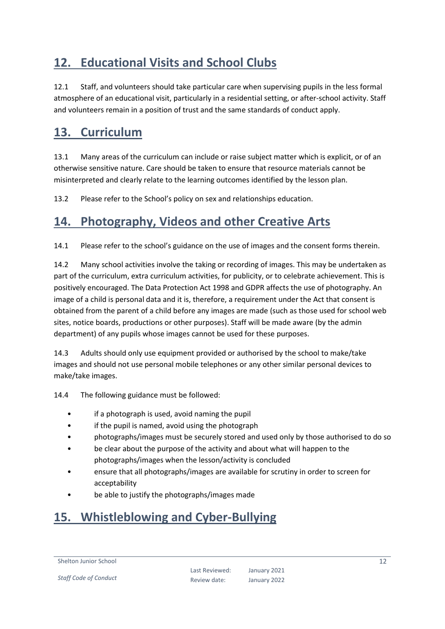# <span id="page-11-0"></span>**12. Educational Visits and School Clubs**

12.1 Staff, and volunteers should take particular care when supervising pupils in the less formal atmosphere of an educational visit, particularly in a residential setting, or after-school activity. Staff and volunteers remain in a position of trust and the same standards of conduct apply.

#### <span id="page-11-1"></span>**13. Curriculum**

13.1 Many areas of the curriculum can include or raise subject matter which is explicit, or of an otherwise sensitive nature. Care should be taken to ensure that resource materials cannot be misinterpreted and clearly relate to the learning outcomes identified by the lesson plan.

13.2 Please refer to the School's policy on sex and relationships education.

#### <span id="page-11-2"></span>**14. Photography, Videos and other Creative Arts**

14.1 Please refer to the school's guidance on the use of images and the consent forms therein.

14.2 Many school activities involve the taking or recording of images. This may be undertaken as part of the curriculum, extra curriculum activities, for publicity, or to celebrate achievement. This is positively encouraged. The Data Protection Act 1998 and GDPR affects the use of photography. An image of a child is personal data and it is, therefore, a requirement under the Act that consent is obtained from the parent of a child before any images are made (such as those used for school web sites, notice boards, productions or other purposes). Staff will be made aware (by the admin department) of any pupils whose images cannot be used for these purposes.

14.3 Adults should only use equipment provided or authorised by the school to make/take images and should not use personal mobile telephones or any other similar personal devices to make/take images.

14.4 The following guidance must be followed:

- if a photograph is used, avoid naming the pupil
- if the pupil is named, avoid using the photograph
- photographs/images must be securely stored and used only by those authorised to do so
- be clear about the purpose of the activity and about what will happen to the photographs/images when the lesson/activity is concluded
- ensure that all photographs/images are available for scrutiny in order to screen for acceptability
- be able to justify the photographs/images made

#### <span id="page-11-3"></span>**15. Whistleblowing and Cyber-Bullying**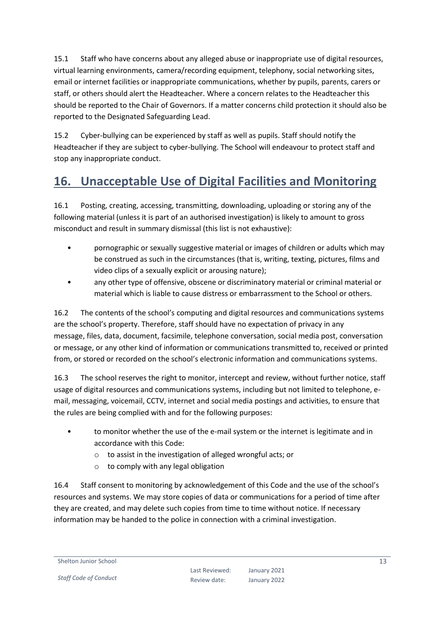15.1 Staff who have concerns about any alleged abuse or inappropriate use of digital resources, virtual learning environments, camera/recording equipment, telephony, social networking sites, email or internet facilities or inappropriate communications, whether by pupils, parents, carers or staff, or others should alert the Headteacher. Where a concern relates to the Headteacher this should be reported to the Chair of Governors. If a matter concerns child protection it should also be reported to the Designated Safeguarding Lead.

15.2 Cyber-bullying can be experienced by staff as well as pupils. Staff should notify the Headteacher if they are subject to cyber-bullying. The School will endeavour to protect staff and stop any inappropriate conduct.

### <span id="page-12-0"></span>**16. Unacceptable Use of Digital Facilities and Monitoring**

16.1 Posting, creating, accessing, transmitting, downloading, uploading or storing any of the following material (unless it is part of an authorised investigation) is likely to amount to gross misconduct and result in summary dismissal (this list is not exhaustive):

- pornographic or sexually suggestive material or images of children or adults which may be construed as such in the circumstances (that is, writing, texting, pictures, films and video clips of a sexually explicit or arousing nature);
- any other type of offensive, obscene or discriminatory material or criminal material or material which is liable to cause distress or embarrassment to the School or others.

16.2 The contents of the school's computing and digital resources and communications systems are the school's property. Therefore, staff should have no expectation of privacy in any message, files, data, document, facsimile, telephone conversation, social media post, conversation or message, or any other kind of information or communications transmitted to, received or printed from, or stored or recorded on the school's electronic information and communications systems.

16.3 The school reserves the right to monitor, intercept and review, without further notice, staff usage of digital resources and communications systems, including but not limited to telephone, email, messaging, voicemail, CCTV, internet and social media postings and activities, to ensure that the rules are being complied with and for the following purposes:

- to monitor whether the use of the e-mail system or the internet is legitimate and in accordance with this Code:
	- o to assist in the investigation of alleged wrongful acts; or
	- o to comply with any legal obligation

16.4 Staff consent to monitoring by acknowledgement of this Code and the use of the school's resources and systems. We may store copies of data or communications for a period of time after they are created, and may delete such copies from time to time without notice. If necessary information may be handed to the police in connection with a criminal investigation.

Shelton Junior School